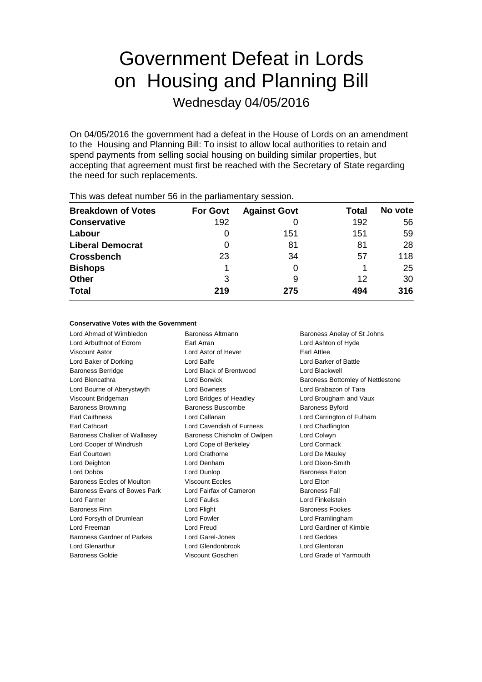# Government Defeat in Lords on Housing and Planning Bill

Wednesday 04/05/2016

On 04/05/2016 the government had a defeat in the House of Lords on an amendment to the Housing and Planning Bill: To insist to allow local authorities to retain and spend payments from selling social housing on building similar properties, but accepting that agreement must first be reached with the Secretary of State regarding the need for such replacements.

| <b>Breakdown of Votes</b> | <b>For Govt</b> | <b>Against Govt</b> | Total | No vote |  |
|---------------------------|-----------------|---------------------|-------|---------|--|
| <b>Conservative</b>       | 192             |                     | 192   | 56      |  |
| Labour                    |                 | 151                 | 151   | 59      |  |
| <b>Liberal Democrat</b>   | 0               | 81                  | 81    | 28      |  |
| <b>Crossbench</b>         | 23              | 34                  | 57    | 118     |  |
| <b>Bishops</b>            |                 | 0                   |       | 25      |  |
| <b>Other</b>              | 3               | 9                   | 12    | 30      |  |
| <b>Total</b>              | 219             | 275                 | 494   | 316     |  |
|                           |                 |                     |       |         |  |

This was defeat number 56 in the parliamentary session.

### **Conservative Votes with the Government**

Lord Ahmad of Wimbledon Baroness Altmann Baroness Anelay of St Johns Lord Arbuthnot of Edrom Earl Arran Lord Ashton of Hyde Viscount Astor Lord Astor of Hever Earl Attlee Lord Baker of Dorking Lord Balfe Lord Barker of Battle Baroness Berridge Lord Black of Brentwood Lord Blackwell Lord Blencathra **Lord Borwick** Baroness Bottomley of Nettlestone Lord Bourne of Aberystwyth **Lord Bowness Lord Brabazon of Tara** Viscount Bridgeman Lord Bridges of Headley Lord Brougham and Vaux Baroness Browning **Baroness Buscombe** Baroness Baroness Byford Earl Caithness Lord Callanan Lord Carrington of Fulham Earl Cathcart Lord Cavendish of Furness Lord Chadlington Baroness Chalker of Wallasey Baroness Chisholm of Owlpen Lord Colwyn Lord Cooper of Windrush Lord Cope of Berkeley Lord Cormack Earl Courtown Lord Crathorne Lord De Mauley Lord Deighton Lord Denham Lord Dixon-Smith Lord Dobbs **Lord Dunlop Comparent Eaton Baroness Eaton** Baroness Eccles of Moulton Viscount Eccles Contract Lord Elton Baroness Evans of Bowes Park Lord Fairfax of Cameron Baroness Fall Lord Farmer Lord Faulks Lord Finkelstein Baroness Finn **Example 20** Lord Flight **Baroness Fookes** Lord Forsyth of Drumlean Lord Fowler Lord Formula Lord Framlingham Lord Freeman Lord Freud Lord Gardiner of Kimble Baroness Gardner of Parkes Lord Garel-Jones Lord Geddes Lord Glenarthur Lord Glendonbrook Lord Glentoran

Baroness Goldie Viscount Goschen Lord Grade of Yarmouth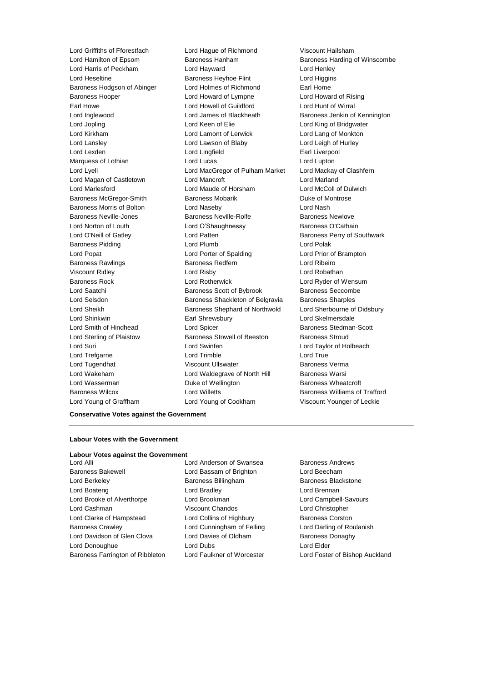Lord Griffiths of Fforestfach Lord Hague of Richmond Viscount Hailsham Lord Hamilton of Epsom Baroness Hanham Baroness Hanham Baroness Harding of Winscombe Lord Harris of Peckham Lord Hayward Lord Henley Lord Heseltine **Baroness Heyhoe Flint** Lord Higgins Baroness Hodgson of Abinger Lord Holmes of Richmond Earl Home Baroness Hooper Lord Howard of Lympne Lord Howard of Rising Earl Howe Lord Howell of Guildford Lord Hunt of Wirral Lord Inglewood **Lord James of Blackheath** Baroness Jenkin of Kennington Lord Jopling **Lord Communist Communist Communist Communist Communist Communist Communist Communist Communist Communist Communist Communist Communist Communist Communist Communist Communist Communist Communist Communist Com** Lord Kirkham Lord Lamont of Lerwick Lord Lang of Monkton Lord Lansley Lord Lawson of Blaby Lord Leigh of Hurley Lord Lexden **Lord Lingfield** Earl Liverpool Marquess of Lothian **Lord Lucas** Lord Lucas Lord Lupton Lord Lyell Lord MacGregor of Pulham Market Lord Mackay of Clashfern Lord Magan of Castletown Lord Mancroft Lord Marland Lord Marlesford Lord Maude of Horsham Lord McColl of Dulwich Baroness McGregor-Smith Baroness Mobarik Baroness Mobarick Duke of Montrose Baroness Morris of Bolton Lord Naseby Lord Nash Baroness Neville-Jones **Baroness Newlowe** Baroness Newlove Baroness Newlove Lord Norton of Louth **Lord O'Shaughnessy** Baroness O'Cathain Lord O'Neill of Gatley Lord Patten Baroness Perry of Southwark Baroness Pidding **Lord Plumb** Lord Plumb **Lord Polak** Lord Popat Lord Porter of Spalding Lord Prior of Brampton Baroness Rawlings **Baroness Redfern Baroness Redfern Lord Ribeiro** Viscount Ridley Lord Risby Lord Robathan Baroness Rock Lord Rotherwick Lord Ryder of Wensum Lord Saatchi **Baroness Scott of Bybrook** Baroness Seccombe Lord Selsdon Baroness Shackleton of Belgravia Baroness Sharples Lord Sheikh **Baroness Shephard of Northwold** Lord Sherbourne of Didsbury Lord Shinkwin Earl Shrewsbury Lord Skelmersdale Lord Smith of Hindhead Lord Spicer Baroness Stedman-Scott Lord Sterling of Plaistow Baroness Stowell of Beeston Baroness Stroud Lord Suri Lord Swinfen Lord Taylor of Holbeach Lord Trefgarne **Lord Trimble** Lord Trimble **Lord True** Lord Tugendhat Viscount Ullswater Baroness Verma Lord Wakeham **Lord Waldegrave of North Hill** Baroness Warsi Lord Wasserman **Duke of Wellington** Baroness Wheatcroft Baroness Wilcox **Lord Willetts** Baroness Williams of Trafford Lord Young of Graffham Lord Young of Cookham Viscount Younger of Leckie

### **Conservative Votes against the Government**

### **Labour Votes with the Government**

#### **Labour Votes against the Government**

Baroness Bakewell **Lord Bassam of Brighton** Lord Beecham Lord Berkeley **Baroness Billingham** Baroness Billingham Baroness Blackstone Lord Boateng Lord Bradley Lord Brennan Lord Brooke of Alverthorpe **Lord Brookman** Lord Campbell-Savours Lord Cashman Viscount Chandos Lord Christopher Lord Clarke of Hampstead Lord Collins of Highbury Baroness Corston Baroness Crawley **Lord Cunningham of Felling Carol** Lord Darling of Roulanish Lord Davidson of Glen Clova **Lord Davies of Oldham** Baroness Donaghy Lord Donoughue **Lord Dubs** Lord Dubs **Lord Elder** Baroness Farrington of Ribbleton Lord Faulkner of Worcester Lord Foster of Bishop Auckland

Lord Alli Lord Anderson of Swansea Baroness Andrews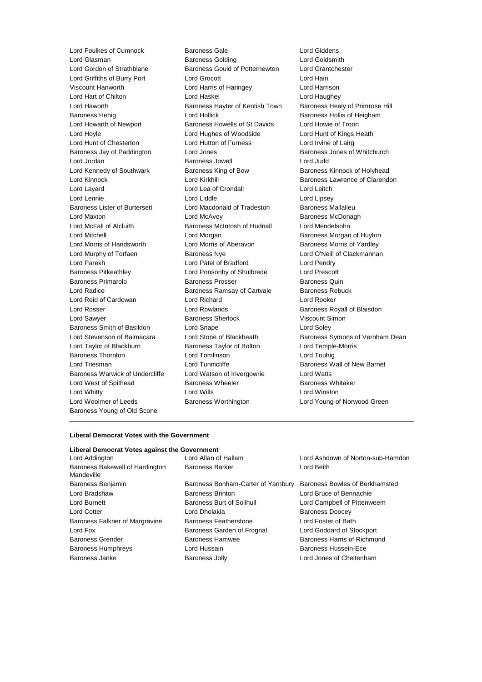Lord Foulkes of Cumnock Baroness Gale Lord Giddens<br>
Lord Glasman **Baroness Golding** Cord Goldsmith Lord Glasman **Baroness** Golding Lord Glasman Lord Gordon of Strathblane Baroness Gould of Potternewton Lord Grantchester Lord Griffiths of Burry Port Lord Grocott Lord Hain Viscount Hanworth Lord Harris of Haringey Lord Harrison Lord Hart of Chilton Lord Haskel Lord Haughey Lord Haworth Baroness Hayter of Kentish Town Baroness Healy of Primrose Hill Baroness Henig **Exercise Set Access** Lord Hollick **Baroness Hollis of Heigham** Lord Howarth of Newport Baroness Howells of St Davids Lord Howie of Troon Lord Hoyle Lord Hughes of Woodside Lord Hunt of Kings Heath Lord Hunt of Chesterton Lord Hutton of Furness Lord Irvine of Lairg Baroness Jay of Paddington **Lord Jones** Baroness Jones of Whitchurch Lord Jordan Baroness Jowell Lord Judd Lord Kennedy of Southwark **Baroness King of Bow** Baroness Kinnock of Holyhead Lord Kinnock **Lord Kirkhill** Baroness Lawrence of Clarendon Lord Layard Lord Lea of Crondall Lord Leitch Lord Lennie Lord Liddle Lord Lipsey Baroness Lister of Burtersett Lord Macdonald of Tradeston Baroness Mallalieu Lord Maxton **Lord McAvoy Community** Lord McAvoy **Baroness McDonagh** Lord McFall of Alcluith Baroness McIntosh of Hudnall Lord Mendelsohn Lord Mitchell Lord Morgan Baroness Morgan of Huyton Lord Morris of Handsworth Lord Morris of Aberavon Baroness Morris of Yardley Lord Murphy of Torfaen Baroness Nye Lord O'Neill of Clackmannan Lord Parekh Lord Patel of Bradford Lord Pendry Baroness Pitkeathley Lord Ponsonby of Shulbrede Lord Prescott Baroness Primarolo Baroness Prosser Baroness Quin Lord Radice **Baroness Ramsay of Cartvale** Baroness Rebuck Lord Reid of Cardowan Lord Richard Lord Rooker Lord Rosser Lord Rowlands Baroness Royall of Blaisdon Lord Sawyer **Baroness Sherlock Conservers** Viscount Simon Baroness Smith of Basildon Lord Snape Lord Soley Lord Taylor of Blackburn Baroness Taylor of Bolton Lord Temple-Morris Baroness Thornton Lord Tomlinson Lord Touhig Lord Triesman **Lord Tunnicliffe** Baroness Wall of New Barnet Baroness Warwick of Undercliffe Lord Watson of Invergowrie Lord Watts Lord West of Spithead **Baroness Wheeler** Baroness Wheeler Baroness Whitaker Lord Whitty Lord Wills Lord Winston Lord Woolmer of Leeds Baroness Worthington Lord Young of Norwood Green Baroness Young of Old Scone

Lord Stevenson of Balmacara Lord Stone of Blackheath Baroness Symons of Vernham Dean

### **Liberal Democrat Votes with the Government**

## **Liberal Democrat Votes against the Government**

Lord Addington Lord Allan of Hallam Lord Ashdown of Norton-sub-Hamdon Baroness Bakewell of Hardington Mandeville

Baroness Barker Lord Beith Baroness Benjamin Baroness Bonham-Carter of Yarnbury Baroness Bowles of Berkhamsted Lord Bradshaw Baroness Brinton Lord Bruce of Bennachie Lord Burnett **Baroness Burt of Solihull** Lord Campbell of Pittenweem Lord Cotter **Lord Dholakia** Baroness Doocey Baroness Falkner of Margravine Baroness Featherstone Lord Foster of Bath Lord Fox Baroness Garden of Frognal Lord Goddard of Stockport Baroness Grender Baroness Hamwee Baroness Harris of Richmond Baroness Humphreys Lord Hussain Baroness Hussein-Ece Baroness Janke Baroness Jolly Lord Jones of Cheltenham